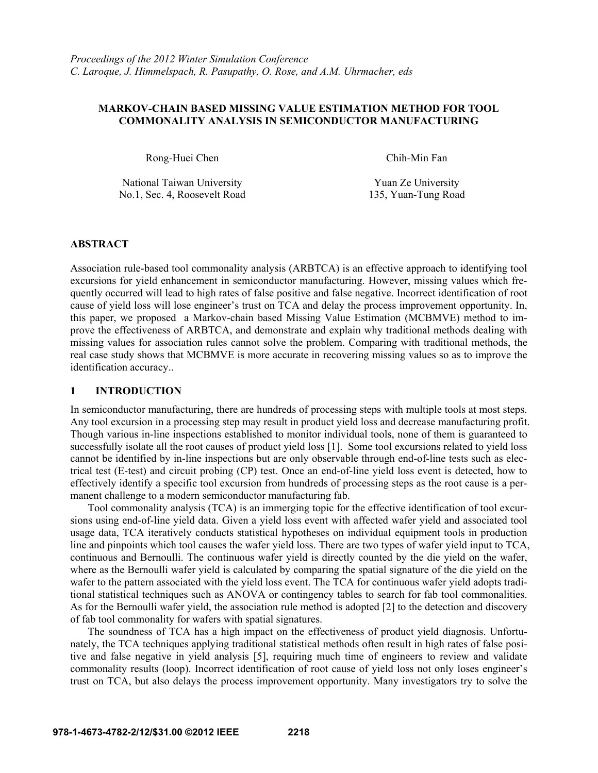# **MARKOV-CHAIN BASED MISSING VALUE ESTIMATION METHOD FOR TOOL COMMONALITY ANALYSIS IN SEMICONDUCTOR MANUFACTURING**

Rong-Huei Chen Chih-Min Fan

National Taiwan University **Yuan Ze University** No.1, Sec. 4, Roosevelt Road 135, Yuan-Tung Road

# **ABSTRACT**

Association rule-based tool commonality analysis (ARBTCA) is an effective approach to identifying tool excursions for yield enhancement in semiconductor manufacturing. However, missing values which frequently occurred will lead to high rates of false positive and false negative. Incorrect identification of root cause of yield loss will lose engineer's trust on TCA and delay the process improvement opportunity. In, this paper, we proposed a Markov-chain based Missing Value Estimation (MCBMVE) method to improve the effectiveness of ARBTCA, and demonstrate and explain why traditional methods dealing with missing values for association rules cannot solve the problem. Comparing with traditional methods, the real case study shows that MCBMVE is more accurate in recovering missing values so as to improve the identification accuracy..

# **1 INTRODUCTION**

In semiconductor manufacturing, there are hundreds of processing steps with multiple tools at most steps. Any tool excursion in a processing step may result in product yield loss and decrease manufacturing profit. Though various in-line inspections established to monitor individual tools, none of them is guaranteed to successfully isolate all the root causes of product yield loss [1]. Some tool excursions related to yield loss cannot be identified by in-line inspections but are only observable through end-of-line tests such as electrical test (E-test) and circuit probing (CP) test. Once an end-of-line yield loss event is detected, how to effectively identify a specific tool excursion from hundreds of processing steps as the root cause is a permanent challenge to a modern semiconductor manufacturing fab.

 Tool commonality analysis (TCA) is an immerging topic for the effective identification of tool excursions using end-of-line yield data. Given a yield loss event with affected wafer yield and associated tool usage data, TCA iteratively conducts statistical hypotheses on individual equipment tools in production line and pinpoints which tool causes the wafer yield loss. There are two types of wafer yield input to TCA, continuous and Bernoulli. The continuous wafer yield is directly counted by the die yield on the wafer, where as the Bernoulli wafer yield is calculated by comparing the spatial signature of the die yield on the wafer to the pattern associated with the yield loss event. The TCA for continuous wafer yield adopts traditional statistical techniques such as ANOVA or contingency tables to search for fab tool commonalities. As for the Bernoulli wafer yield, the association rule method is adopted [2] to the detection and discovery of fab tool commonality for wafers with spatial signatures.

 The soundness of TCA has a high impact on the effectiveness of product yield diagnosis. Unfortunately, the TCA techniques applying traditional statistical methods often result in high rates of false positive and false negative in yield analysis [5], requiring much time of engineers to review and validate commonality results (loop). Incorrect identification of root cause of yield loss not only loses engineer's trust on TCA, but also delays the process improvement opportunity. Many investigators try to solve the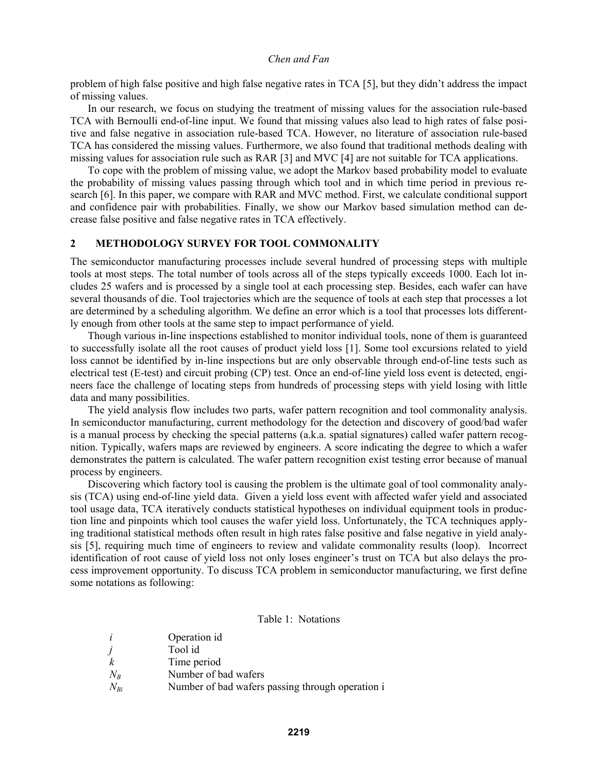problem of high false positive and high false negative rates in TCA [5], but they didn't address the impact of missing values.

 In our research, we focus on studying the treatment of missing values for the association rule-based TCA with Bernoulli end-of-line input. We found that missing values also lead to high rates of false positive and false negative in association rule-based TCA. However, no literature of association rule-based TCA has considered the missing values. Furthermore, we also found that traditional methods dealing with missing values for association rule such as RAR [3] and MVC [4] are not suitable for TCA applications.

 To cope with the problem of missing value, we adopt the Markov based probability model to evaluate the probability of missing values passing through which tool and in which time period in previous research [6]. In this paper, we compare with RAR and MVC method. First, we calculate conditional support and confidence pair with probabilities. Finally, we show our Markov based simulation method can decrease false positive and false negative rates in TCA effectively.

# **2 METHODOLOGY SURVEY FOR TOOL COMMONALITY**

The semiconductor manufacturing processes include several hundred of processing steps with multiple tools at most steps. The total number of tools across all of the steps typically exceeds 1000. Each lot includes 25 wafers and is processed by a single tool at each processing step. Besides, each wafer can have several thousands of die. Tool trajectories which are the sequence of tools at each step that processes a lot are determined by a scheduling algorithm. We define an error which is a tool that processes lots differently enough from other tools at the same step to impact performance of yield.

 Though various in-line inspections established to monitor individual tools, none of them is guaranteed to successfully isolate all the root causes of product yield loss [1]. Some tool excursions related to yield loss cannot be identified by in-line inspections but are only observable through end-of-line tests such as electrical test (E-test) and circuit probing (CP) test. Once an end-of-line yield loss event is detected, engineers face the challenge of locating steps from hundreds of processing steps with yield losing with little data and many possibilities.

 The yield analysis flow includes two parts, wafer pattern recognition and tool commonality analysis. In semiconductor manufacturing, current methodology for the detection and discovery of good/bad wafer is a manual process by checking the special patterns (a.k.a. spatial signatures) called wafer pattern recognition. Typically, wafers maps are reviewed by engineers. A score indicating the degree to which a wafer demonstrates the pattern is calculated. The wafer pattern recognition exist testing error because of manual process by engineers.

 Discovering which factory tool is causing the problem is the ultimate goal of tool commonality analysis (TCA) using end-of-line yield data. Given a yield loss event with affected wafer yield and associated tool usage data, TCA iteratively conducts statistical hypotheses on individual equipment tools in production line and pinpoints which tool causes the wafer yield loss. Unfortunately, the TCA techniques applying traditional statistical methods often result in high rates false positive and false negative in yield analysis [5], requiring much time of engineers to review and validate commonality results (loop). Incorrect identification of root cause of yield loss not only loses engineer's trust on TCA but also delays the process improvement opportunity. To discuss TCA problem in semiconductor manufacturing, we first define some notations as following:

## Table 1: Notations

|          | Operation id                                     |
|----------|--------------------------------------------------|
|          | Tool id                                          |
|          | Time period                                      |
| $N_R$    | Number of bad wafers                             |
| $N_{Bi}$ | Number of bad wafers passing through operation i |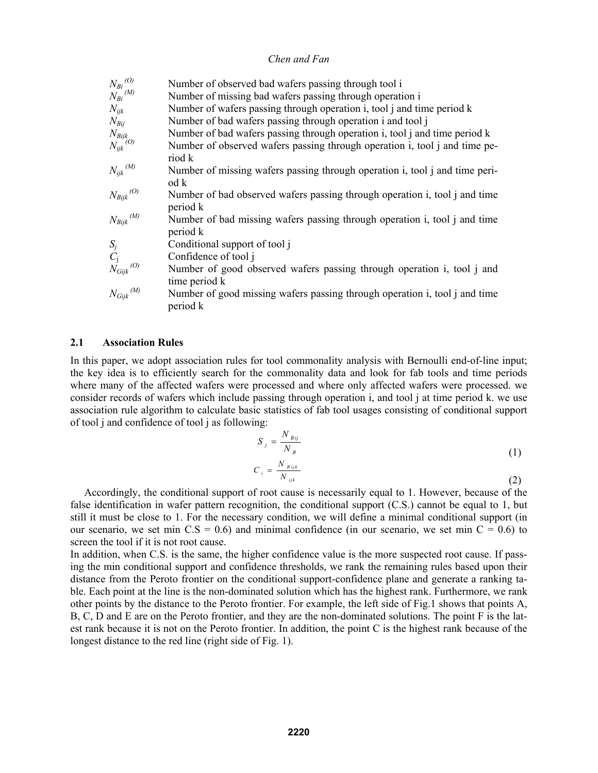| $N_{Bi}^{(O)}$                                                                           | Number of observed bad wafers passing through tool i                                   |  |
|------------------------------------------------------------------------------------------|----------------------------------------------------------------------------------------|--|
| $N_{Bi}{}^{(M)}$                                                                         | Number of missing bad wafers passing through operation i                               |  |
| $N_{ijk}$                                                                                | Number of wafers passing through operation i, tool j and time period k                 |  |
| $N_{Bii}$                                                                                | Number of bad wafers passing through operation i and tool j                            |  |
|                                                                                          | Number of bad wafers passing through operation i, tool j and time period k             |  |
| $\frac{N_{Bijk}}{N_{ijk}^{(O)}}$                                                         | Number of observed wafers passing through operation i, tool j and time pe-             |  |
|                                                                                          | riod k                                                                                 |  |
| $N_{ijk}{}^{(M)}$                                                                        | Number of missing wafers passing through operation i, tool j and time peri-            |  |
|                                                                                          | od k                                                                                   |  |
| $N_{Bijk}{}^{(O)}$                                                                       | Number of bad observed wafers passing through operation i, tool j and time             |  |
|                                                                                          | period k                                                                               |  |
| $N_{\mathit{Bijk}}{}^{(\mathit{M})}$                                                     | Number of bad missing wafers passing through operation i, tool j and time<br>period k  |  |
| $S_j$                                                                                    | Conditional support of tool j                                                          |  |
|                                                                                          | Confidence of tool j                                                                   |  |
| $\overset{\cdot C_{\text{j}}}{N_{\text{Gijk}}}\overset{\cdot O_{\text{j}}}{\rightarrow}$ | Number of good observed wafers passing through operation i, tool j and                 |  |
|                                                                                          | time period k                                                                          |  |
| $N_{Gijk}{}^{(M)}$                                                                       | Number of good missing wafers passing through operation i, tool j and time<br>period k |  |

### **2.1 Association Rules**

In this paper, we adopt association rules for tool commonality analysis with Bernoulli end-of-line input; the key idea is to efficiently search for the commonality data and look for fab tools and time periods where many of the affected wafers were processed and where only affected wafers were processed. we consider records of wafers which include passing through operation i, and tool j at time period k. we use association rule algorithm to calculate basic statistics of fab tool usages consisting of conditional support of tool j and confidence of tool j as following:

$$
S_j = \frac{N_{\text{Bij}}}{N_{\text{B}}}
$$
\n
$$
N_{\text{Bik}}
$$
\n(1)

$$
C_i = \frac{N_{Bijk}}{N_{ijk}}\tag{2}
$$

Accordingly, the conditional support of root cause is necessarily equal to 1. However, because of the false identification in wafer pattern recognition, the conditional support (C.S.) cannot be equal to 1, but still it must be close to 1. For the necessary condition, we will define a minimal conditional support (in our scenario, we set min  $C.S = 0.6$ ) and minimal confidence (in our scenario, we set min  $C = 0.6$ ) to screen the tool if it is not root cause.

In addition, when C.S. is the same, the higher confidence value is the more suspected root cause. If passing the min conditional support and confidence thresholds, we rank the remaining rules based upon their distance from the Peroto frontier on the conditional support-confidence plane and generate a ranking table. Each point at the line is the non-dominated solution which has the highest rank. Furthermore, we rank other points by the distance to the Peroto frontier. For example, the left side of Fig.1 shows that points A, B, C, D and E are on the Peroto frontier, and they are the non-dominated solutions. The point F is the latest rank because it is not on the Peroto frontier. In addition, the point C is the highest rank because of the longest distance to the red line (right side of Fig. 1).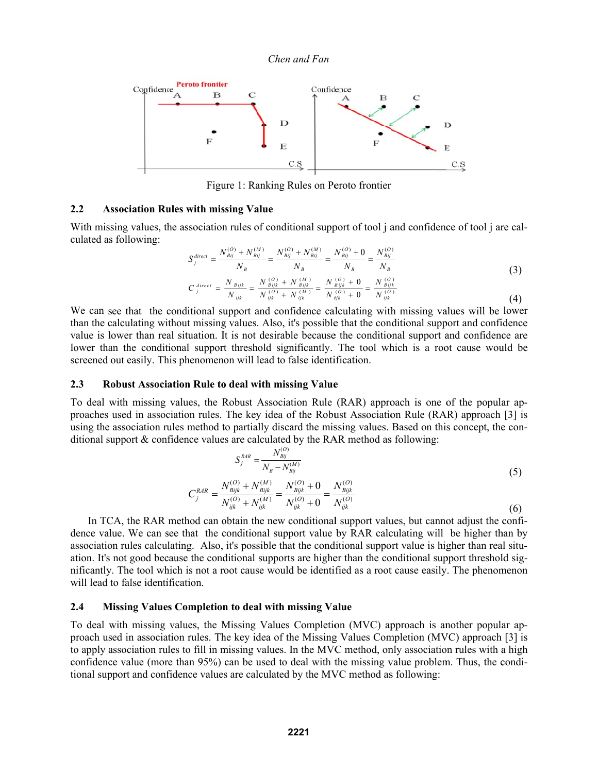

Figure 1: Ranking Rules on Peroto frontier

### 2.2 **Association Rules with missing Value**

With missing values, the association rules of conditional support of tool j and confidence of tool j are calculated as following:

$$
S_{j}^{direct} = \frac{N_{Bij}^{(O)} + N_{Bij}^{(M)}}{N_B} = \frac{N_{Bij}^{(O)} + N_{Bij}^{(M)}}{N_B} = \frac{N_{Bij}^{(O)} + 0}{N_B} = \frac{N_{Bij}^{(O)}}{N_B}
$$
\n
$$
C_{j}^{direct} = \frac{N_{Bijk}}{N_{ijk}} = \frac{N_{Bijk}^{(O)} + N_{Bijk}^{(M)}}{N_{ijk}^{(O)} + N_{ijk}^{(M)}} = \frac{N_{Bijk}^{(O)} + 0}{N_{ijk}^{(O)} + 0} = \frac{N_{Bijk}^{(O)}}{N_{ijk}^{(O)}}
$$
\n(4)

We can see that the conditional support and confidence calculating with missing values will be lower than the calculating without missing values. Also, it's possible that the conditional support and confidence value is lower than real situation. It is not desirable because the conditional support and confidence are lower than the conditional support threshold significantly. The tool which is a root cause would be screened out easily. This phenomenon will lead to false identification.

### 2.3 Robust Association Rule to deal with missing Value

To deal with missing values, the Robust Association Rule (RAR) approach is one of the popular approaches used in association rules. The key idea of the Robust Association Rule (RAR) approach [3] is using the association rules method to partially discard the missing values. Based on this concept, the conditional support  $\&$  confidence values are calculated by the RAR method as following:

$$
S_j^{RAR} = \frac{N_{Bij}^{(O)}}{N_B - N_{Bij}^{(M)}}
$$
(5)

$$
C_j^{RAR} = \frac{N_{Bijk}^{(O)} + N_{Bijk}^{(M)}}{N_{ijk}^{(O)} + N_{ijk}^{(M)}} = \frac{N_{Bijk}^{(O)} + 0}{N_{ijk}^{(O)} + 0} = \frac{N_{Bijk}^{(O)}}{N_{ijk}^{(O)}}
$$
(6)

In TCA, the RAR method can obtain the new conditional support values, but cannot adjust the confidence value. We can see that the conditional support value by RAR calculating will be higher than by association rules calculating. Also, it's possible that the conditional support value is higher than real situation. It's not good because the conditional supports are higher than the conditional support threshold significantly. The tool which is not a root cause would be identified as a root cause easily. The phenomenon will lead to false identification.

#### **2.4 M Missing Values Completion to deal with missing Value**

To deal with missing values, the Missing Values Completion (MVC) approach is another popular approach used in association rules. The key idea of the Missing Values Completion (MVC) approach [3] is to apply association rules to fill in missing values. In the MVC method, only association rules with a high confidence value (more than 95%) can be used to deal with the missing value problem. Thus, the conditional support and confidence values are calculated by the MVC method as following: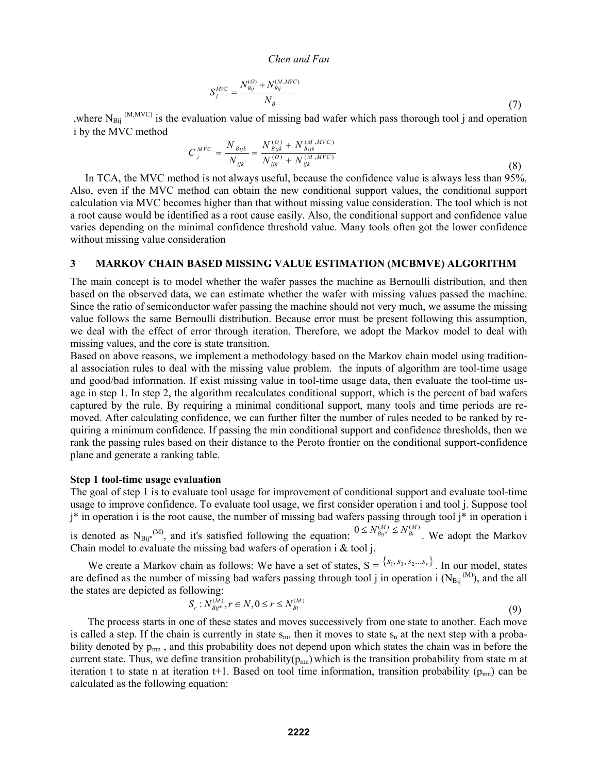$$
S_j^{MVC} = \frac{N_{Bij}^{(O)} + N_{Bij}^{(M,MVC)}}{N_B} \tag{7}
$$

where  $N_{\text{Bij}}^{(M,MVC)}$  is the evaluation value of missing bad wafer which pass thorough tool j and operation i by the MVC method

$$
C_j^{MVC} = \frac{N_{Bijk}}{N_{ijk}} = \frac{N_{Bijk}^{(O)} + N_{Bijk}^{(M,MVC)}}{N_{ijk}^{(O)} + N_{ijk}^{(M,MVC)}}
$$
(8)

 In TCA, the MVC method is not always useful, because the confidence value is always less than 95%. Also, even if the MVC method can obtain the new conditional support values, the conditional support calculation via MVC becomes higher than that without missing value consideration. The tool which is not a root cause would be identified as a root cause easily. Also, the conditional support and confidence value varies depending on the minimal confidence threshold value. Many tools often got the lower confidence without missing value consideration

## **3 MARKOV CHAIN BASED MISSING VALUE ESTIMATION (MCBMVE) ALGORITHM**

The main concept is to model whether the wafer passes the machine as Bernoulli distribution, and then based on the observed data, we can estimate whether the wafer with missing values passed the machine. Since the ratio of semiconductor wafer passing the machine should not very much, we assume the missing value follows the same Bernoulli distribution. Because error must be present following this assumption, we deal with the effect of error through iteration. Therefore, we adopt the Markov model to deal with missing values, and the core is state transition.

Based on above reasons, we implement a methodology based on the Markov chain model using traditional association rules to deal with the missing value problem. the inputs of algorithm are tool-time usage and good/bad information. If exist missing value in tool-time usage data, then evaluate the tool-time usage in step 1. In step 2, the algorithm recalculates conditional support, which is the percent of bad wafers captured by the rule. By requiring a minimal conditional support, many tools and time periods are removed. After calculating confidence, we can further filter the number of rules needed to be ranked by requiring a minimum confidence. If passing the min conditional support and confidence thresholds, then we rank the passing rules based on their distance to the Peroto frontier on the conditional support-confidence plane and generate a ranking table.

### **Step 1 tool-time usage evaluation**

The goal of step 1 is to evaluate tool usage for improvement of conditional support and evaluate tool-time usage to improve confidence. To evaluate tool usage, we first consider operation i and tool j. Suppose tool j\* in operation i is the root cause, the number of missing bad wafers passing through tool j\* in operation i

is denoted as  $N_{\text{Bij}*}^{(M)}$ , and it's satisfied following the equation:  $0 \le N_{\text{Bij}*}^{(M)} \le N_{\text{Bij}*}^{(M)}$ . We adopt the Markov Chain model to evaluate the missing bad wafers of operation i & tool j.

We create a Markov chain as follows: We have a set of states,  $S = \{s_1, s_3, s_2...s_r\}$ . In our model, states are defined as the number of missing bad wafers passing through tool j in operation i  $(N_{Bij}^{(M)})$ , and the all the states are depicted as following:

$$
S_r: N_{Bij^*}^{(M)}, r \in N, 0 \le r \le N_{Bi}^{(M)}
$$
\n(9)

 The process starts in one of these states and moves successively from one state to another. Each move is called a step. If the chain is currently in state  $s_m$ , then it moves to state  $s_n$  at the next step with a probability denoted by  $p_{mn}$ , and this probability does not depend upon which states the chain was in before the current state. Thus, we define transition probability( $p_{mn}$ ) which is the transition probability from state m at iteration t to state n at iteration t+1. Based on tool time information, transition probability ( $p_{mn}$ ) can be calculated as the following equation: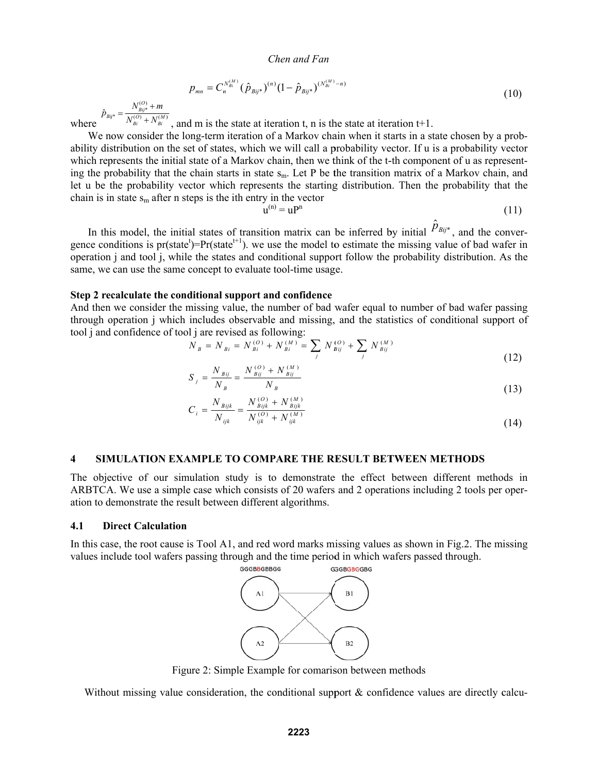$$
p_{mn} = C_n^{N_{bi}^{(M)}} (\hat{p}_{Bij^*})^{(n)} (1 - \hat{p}_{Bij^*})^{(N_{Bi}^{(M)} - n)}
$$
(10)

 $\label{eq:1} \hat{p}_{\scriptscriptstyle Bij^*} =$  where

 $\sqrt{\frac{N_{Bi}^{(O)} + N_{Bi}^{(M)}}{N_{Bi}^{(O)}}}$ , and m is the state at iteration t, n is the state at iteration t+1.

We now consider the long-term iteration of a Markov chain when it starts in a state chosen by a probability distribution on the set of states, which we will call a probability vector. If u is a probability vector which represents the initial state of a Markov chain, then we think of the t-th component of u as representing the probability that the chain starts in state  $s_m$ . Let P be the transition matrix of a Markov chain, and let u be the probability vector which represents the starting distribution. Then the probability that the chain is in state  $s_m$  after n steps is the ith entry in the vector

$$
\mathbf{u}^{(n)} = \mathbf{u} \mathbf{P}^n \tag{11}
$$

In this model, the initial states of transition matrix can be inferred by initial  $\hat{P}_{Bij^*}$ , and the convergence conditions is pr(state<sup>t</sup>)=Pr(state<sup>t+1</sup>). we use the model to estimate the missing value of bad wafer in operation *j* and tool *j*, while the states and conditional support follow the probability distribution. As the same, we can use the same concept to evaluate tool-time usage.

## Step 2 recalculate the conditional support and confidence

And then we consider the missing value, the number of bad wafer equal to number of bad wafer passing through operation *i* which includes observable and missing, and the statistics of conditional support of tool j and confidence of tool j are revised as following:

$$
\overline{N}_B = N_{Bi} = N_{Bi}^{(O)} + N_{Bi}^{(M)} = \sum_j N_{Bij}^{(O)} + \sum_j N_{Bij}^{(M)}
$$
\n(12)

$$
S_{j} = \frac{N_{Bij}}{N_{B}} = \frac{N_{Bij}^{(o)} + N_{Bij}^{(m)}}{N_{B}}
$$
(13)

$$
C_i = \frac{N_{Bijk}}{N_{ijk}} = \frac{N_{Bijk}^{(O)} + N_{Bijk}^{(M)}}{N_{ijk}^{(O)} + N_{ijk}^{(M)}}
$$
(14)

#### $\overline{\mathbf{4}}$ SIMULATION EXAMPLE TO COMPARE THE RESULT BETWEEN METHODS

The objective of our simulation study is to demonstrate the effect between different methods in ARBTCA. We use a simple case which consists of 20 wafers and 2 operations including 2 tools per operation to demonstrate the result between different algorithms.

#### $4.1$ **Direct Calculation**

In this case, the root cause is Tool A1, and red word marks missing values as shown in Fig.2. The missing values include tool wafers passing through and the time period in which wafers passed through.



Figure 2: Simple Example for comarison between methods

Without missing value consideration, the conditional support  $\&$  confidence values are directly calcu-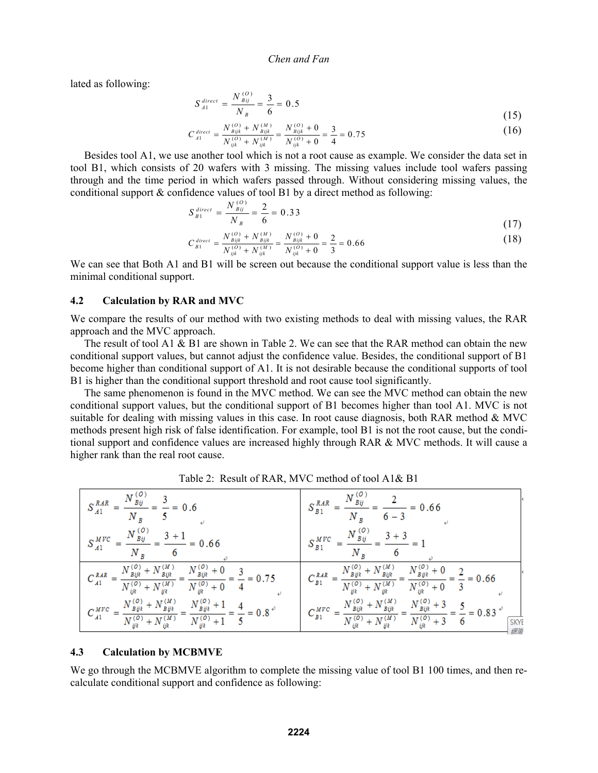lated as following:

$$
S_{A1}^{direct} = \frac{N_{Bij}^{(O)}}{N_B} = \frac{3}{6} = 0.5
$$
\n(15)

$$
C_{A1}^{direct} = \frac{N_{Bijk}^{(O)} + N_{Bijk}^{(M)}}{N_{ijk}^{(O)} + N_{ijk}^{(M)}} = \frac{N_{Bijk}^{(O)} + 0}{N_{ijk}^{(O)} + 0} = \frac{3}{4} = 0.75
$$
\n(16)

Besides tool A1, we use another tool which is not a root cause as example. We consider the data set in tool B1, which consists of 20 wafers with 3 missing. The missing values include tool wafers passing through and the time period in which wafers passed through. Without considering missing values, the conditional support & confidence values of tool B1 by a direct method as following:

$$
S_{B1}^{direct} = \frac{N_{Bij}^{(O)}}{N_B} = \frac{2}{6} = 0.33
$$
\n(17)

$$
C_{B1}^{direct} = \frac{N_{Bijk}^{(O)} + N_{Bijk}^{(M)}}{N_{ijk}^{(O)} + N_{ijk}^{(M)}} = \frac{N_{Bijk}^{(O)} + 0}{N_{ijk}^{(O)} + 0} = \frac{2}{3} = 0.66
$$
\n(18)

We can see that Both A1 and B1 will be screen out because the conditional support value is less than the minimal conditional support.

## **4.2 Calculation by RAR and MVC**

We compare the results of our method with two existing methods to deal with missing values, the RAR approach and the MVC approach.

The result of tool A1 & B1 are shown in Table 2. We can see that the RAR method can obtain the new conditional support values, but cannot adjust the confidence value. Besides, the conditional support of B1 become higher than conditional support of A1. It is not desirable because the conditional supports of tool B1 is higher than the conditional support threshold and root cause tool significantly.

The same phenomenon is found in the MVC method. We can see the MVC method can obtain the new conditional support values, but the conditional support of B1 becomes higher than tool A1. MVC is not suitable for dealing with missing values in this case. In root cause diagnosis, both RAR method  $&$  MVC methods present high risk of false identification. For example, tool B1 is not the root cause, but the conditional support and confidence values are increased highly through RAR & MVC methods. It will cause a higher rank than the real root cause.

| $N$ $_{Bij}$<br>$S^{\,RAR}_{\,A1}$<br>$N_B$                                                                                                                                                | $N$ $_{Bij}$<br>$S^{\,RAR}_{\,B\,1}$<br>$= 0.66$<br>$N_{B}$<br>$6 - 3$                                                                                                                                                                                          |
|--------------------------------------------------------------------------------------------------------------------------------------------------------------------------------------------|-----------------------------------------------------------------------------------------------------------------------------------------------------------------------------------------------------------------------------------------------------------------|
| $N_{\;Bij}^{\;(O)}$<br>$3 + 1$<br>$S^{\mathit{MVC}}_{\mathit{A1}}$<br>$= 0.66$<br>$N_B$                                                                                                    | $N\frac{(O)}{B\,ij}$<br>$3 + 3$<br>$S_{\mathit{B1}}^{\mathit{MVC}}$<br>$N_{B}$                                                                                                                                                                                  |
| $N_{Bijk}^{(O)}$<br>$N_{Bijk}^{(O)}$<br>$+ N$<br>Bijk<br>$C_{\scriptscriptstyle A1}^{\scriptscriptstyle RAR}$<br>$= 0.75$<br>$N_{ijk}^{(0)} + N_{ijk}^{(M)}$<br>$\overline{N_{ijk}^{(o)}}$ | $N_{Bijk}^{(O)}$<br>$C_{\mathfrak{g}_1}^{\mathfrak{RAR}}$<br>$= 0.66$<br>$\overline{N^{(o)}_{ijk}}$<br>$N_{ijk}^{(0)} + N_{ijk}^{(M)}$<br>$\mathbf{3}$                                                                                                          |
| $N_{Bijk}^{(O)}+N_{Bijk}^{(M)}$<br>$N_{_{Bijk}}^{(o)}+1$<br>$C^{MVC}_{A1}$<br>$N_{ijk}^{(0)}+1$<br>$N_{ijk}^{(o)}$<br>ĸ                                                                    | $N_{Bijk}^{(O)}+3$<br>$N_{Bijk}^{(O)}$<br>+ $N_{Bijk}^{(M)}$<br>К<br>$C_{\mathfrak{g}_1}^{\mathfrak{M}\mathfrak{V}\mathfrak{C}}$<br>$= 0.83$ <sup>*</sup><br>$\overline{N^{(o)}_{ijk}+3}$<br>$\overline{N^{(o)}_{ijk}+N^{(M)}_{ijk}}$<br>6<br><b>SKYE</b><br>細摩 |

Table 2: Result of RAR, MVC method of tool A1& B1

## **4.3 Calculation by MCBMVE**

We go through the MCBMVE algorithm to complete the missing value of tool B1 100 times, and then recalculate conditional support and confidence as following: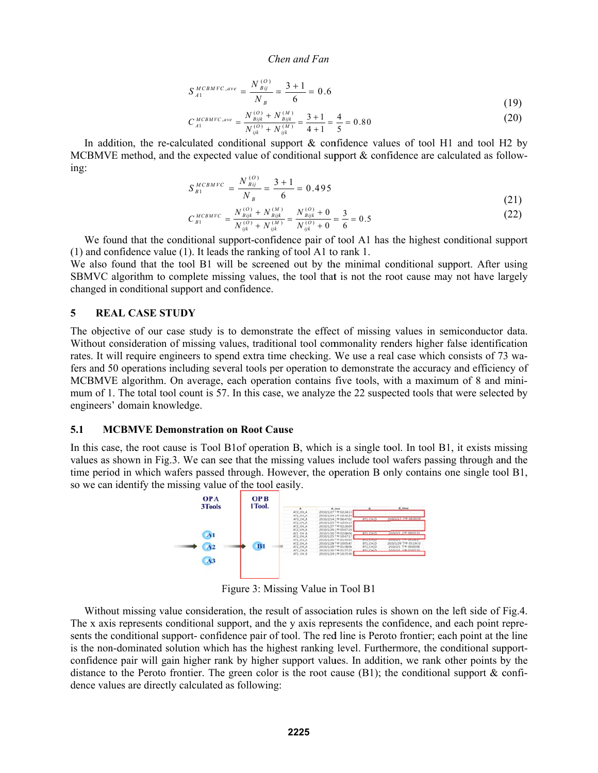$$
S_{A1}^{MCBMVC,ave} = \frac{N_{Bij}^{(O)}}{N_B} = \frac{3+1}{6} = 0.6
$$
\n(19)

$$
C_{A1}^{MCBMVC,ave} = \frac{N_{Bijk}^{(O)} + N_{Bijk}^{(M)}}{N_{in}^{(O)} + N_{in}^{(M)}} = \frac{3+1}{4+1} = \frac{4}{5} = 0.80
$$
\n(20)

In addition, the re-calculated conditional support  $\&$  confidence values of tool H1 and tool H2 by MCBMVE method, and the expected value of conditional support & confidence are calculated as follow $ing:$ 

$$
S_{B1}^{MCBMVC} = \frac{N_{Bij}^{(O)}}{N_B} = \frac{3+1}{6} = 0.495
$$
\n(21)

$$
C_{B1}^{MCBMVC} = \frac{N_{Bijk}^{(O)} + N_{Bijk}^{(M)}}{N_{ijk}^{(O)} + N_{ijk}^{(M)}} = \frac{N_{Bijk}^{(O)} + 0}{N_{ijk}^{(O)} + 0} = \frac{3}{6} = 0.5
$$
 (22)

We found that the conditional support-confidence pair of tool A1 has the highest conditional support  $(1)$  and confidence value  $(1)$ . It leads the ranking of tool A1 to rank 1.

We also found that the tool B1 will be screened out by the minimal conditional support. After using SBMVC algorithm to complete missing values, the tool that is not the root cause may not have largely changed in conditional support and confidence.

#### 5 **REAL CASE STUDY**

The objective of our case study is to demonstrate the effect of missing values in semiconductor data. Without consideration of missing values, traditional tool commonality renders higher false identification rates. It will require engineers to spend extra time checking. We use a real case which consists of 73 wafers and 50 operations including several tools per operation to demonstrate the accuracy and efficiency of MCBMVE algorithm. On average, each operation contains five tools, with a maximum of 8 and minimum of 1. The total tool count is 57. In this case, we analyze the 22 suspected tools that were selected by engineers' domain knowledge.

#### $5.1$ **MCBMVE Demonstration on Root Cause**

In this case, the root cause is Tool B1of operation B, which is a single tool. In tool B1, it exists missing values as shown in Fig.3. We can see that the missing values include tool wafers passing through and the time period in which wafers passed through. However, the operation B only contains one single tool B1, so we can identify the missing value of the tool easily.



Figure 3: Missing Value in Tool B1

Without missing value consideration, the result of association rules is shown on the left side of Fig.4. The x axis represents conditional support, and the y axis represents the confidence, and each point represents the conditional support- confidence pair of tool. The red line is Peroto frontier; each point at the line is the non-dominated solution which has the highest ranking level. Furthermore, the conditional supportconfidence pair will gain higher rank by higher support values. In addition, we rank other points by the distance to the Peroto frontier. The green color is the root cause  $(B1)$ ; the conditional support & confidence values are directly calculated as following: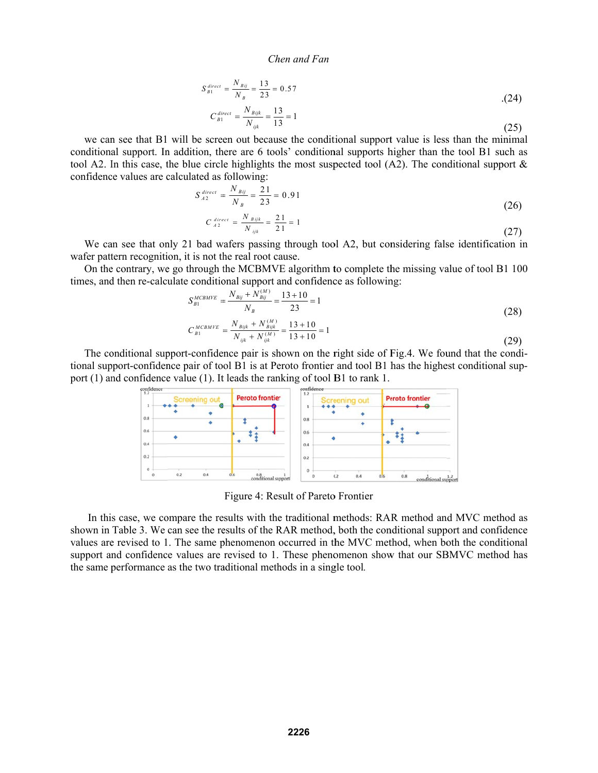$$
S_{B1}^{direct} = \frac{N_{By}}{N_B} = \frac{13}{23} = 0.57
$$
 (24)

$$
C_{B1}^{direct} = \frac{N_{Bijk}}{N_{ijk}} = \frac{13}{13} = 1
$$
\n(25)

we can see that B1 will be screen out because the conditional support value is less than the minimal conditional support. In addition, there are 6 tools' conditional supports higher than the tool B1 such as tool A2. In this case, the blue circle highlights the most suspected tool (A2). The conditional support  $\&$ confidence values are calculated as following:

$$
S_{A2}^{direct} = \frac{N_{Bij}}{N_B} = \frac{21}{23} = 0.91
$$
\n
$$
C_{A2}^{direct} = \frac{N_{Bijk}}{N_{ijk}} = \frac{21}{21} = 1
$$
\n(27)

We can see that only 21 bad wafers passing through tool A2, but considering false identification in wafer pattern recognition, it is not the real root cause.

On the contrary, we go through the MCBMVE algorithm to complete the missing value of tool B1 100 times, and then re-calculate conditional support and confidence as following:

$$
S_{B1}^{MCBMVE} = \frac{N_{Bij} + N_{Bij}^{(M)}}{N_B} = \frac{13 + 10}{23} = 1
$$
  
\n
$$
C_{B1}^{MCBMVE} = \frac{N_{Bijk} + N_{Bij}^{(M)}}{N_B} = \frac{13 + 10}{13.10} = 1
$$
\n(28)

$$
N_{\text{B1}}^{MCBMVE} = \frac{N_{\text{Bijk}} + N_{\text{Bijk}}^{(M)}}{N_{\text{ijk}} + N_{\text{ijk}}^{(M)}} = \frac{13 + 10}{13 + 10} = 1\tag{29}
$$

The conditional support-confidence pair is shown on the right side of Fig.4. We found that the conditional support-confidence pair of tool B1 is at Peroto frontier and tool B1 has the highest conditional support (1) and confidence value (1). It leads the ranking of tool B1 to rank 1.



Figure 4: Result of Pareto Frontier

In this case, we compare the results with the traditional methods: RAR method and MVC method as shown in Table 3. We can see the results of the RAR method, both the conditional support and confidence values are revised to 1. The same phenomenon occurred in the MVC method, when both the conditional support and confidence values are revised to 1. These phenomenon show that our SBMVC method has the same performance as the two traditional methods in a single tool.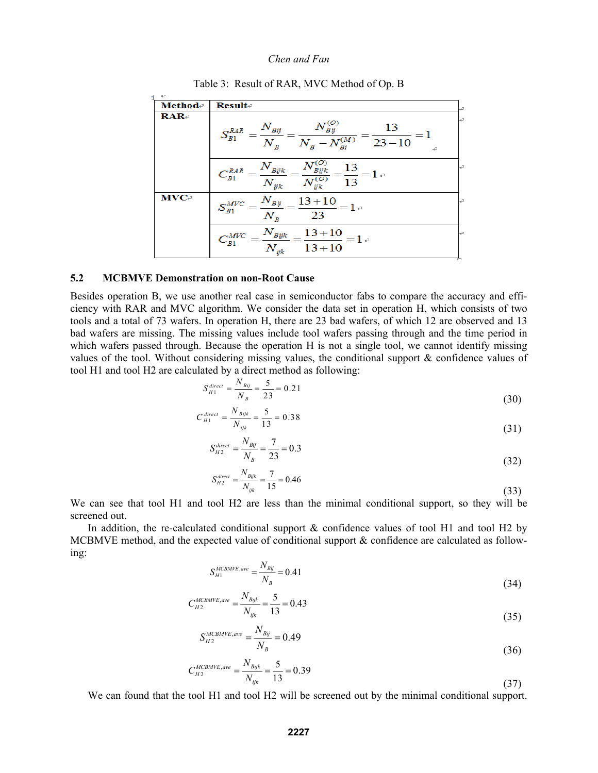| <b>Method</b>                      | <b>Result-</b>                                                                                                                                                                | التعد |
|------------------------------------|-------------------------------------------------------------------------------------------------------------------------------------------------------------------------------|-------|
| $\mathbf{R} \mathbf{A} \mathbf{R}$ | $N_{\underline{\it Bij}}$<br>13<br>$=\frac{N_{\mathcal{B}ij}^{\vee\vee}}{N_{\mathcal{B}}-N_{\mathcal{B}i}^{(M)}}$ :<br>$S_{B1}^{RAR}$ :<br>$-\frac{}{23-10}$<br>$N_{B}$<br>47 | e     |
|                                    | $N_{Bijk}$<br>$\frac{N_{Byk}^{(0)}}{N_{ijk}^{(0)}} = \frac{13}{13} = 1$ .<br>$C_{\mathit{B1}}^{\mathit{RAR}}$ .<br>$\bar N_{\mathit{y}\mathit{k}}$                            | P     |
| $MVC\phi$                          | $=\frac{N_{By}}{N_{By}}=\frac{13+10}{10}=1.$<br>$S_{\scriptscriptstyle{\mathcal{B}}1}^{\scriptscriptstyle{MVC}}$<br>23<br>$N_{_B}$                                            | ↩     |
|                                    | $\frac{N_{Bijk}}{N_{Bijk}} = \frac{13+10}{N_{Bijk}}$<br>$C_{\mathcal{B}1}^{\mathcal{M}\mathcal{V}\mathcal{C}}$<br>$=1$ .<br>$13 + 10$<br>$N_{ijk}$                            | P     |

Table 3: Result of RAR, MVC Method of Op. B

## **5.2 MCBMVE Demonstration on non-Root Cause**

Besides operation B, we use another real case in semiconductor fabs to compare the accuracy and efficiency with RAR and MVC algorithm. We consider the data set in operation H, which consists of two tools and a total of 73 wafers. In operation H, there are 23 bad wafers, of which 12 are observed and 13 bad wafers are missing. The missing values include tool wafers passing through and the time period in which wafers passed through. Because the operation H is not a single tool, we cannot identify missing values of the tool. Without considering missing values, the conditional support & confidence values of tool H1 and tool H2 are calculated by a direct method as following:

$$
S_{H1}^{direct} = \frac{N_{Bij}}{N_B} = \frac{5}{23} = 0.21
$$
\n(30)

$$
C_{H1}^{direct} = \frac{N_{Bijk}}{N_{ijk}} = \frac{5}{13} = 0.38
$$
\n(31)

$$
S_{H2}^{direct} = \frac{N_{Bij}}{N_B} = \frac{7}{23} = 0.3
$$
\n(32)

$$
S_{H2}^{direct} = \frac{N_{Bijk}}{N_{ijk}} = \frac{7}{15} = 0.46
$$
\n(33)

We can see that tool H1 and tool H2 are less than the minimal conditional support, so they will be screened out.

 In addition, the re-calculated conditional support & confidence values of tool H1 and tool H2 by MCBMVE method, and the expected value of conditional support  $\&$  confidence are calculated as following:

$$
S_{H1}^{MCBMVE,ave} = \frac{N_{Bij}}{N_B} = 0.41
$$
\n(34)

$$
C_{H2}^{MCBMVE,ave} = \frac{N_{Bijk}}{N_{ijk}} = \frac{5}{13} = 0.43
$$
\n(35)

$$
S_{H2}^{MCBMVE,ave} = \frac{N_{Bij}}{N_B} = 0.49
$$
\n(36)

$$
C_{H2}^{MCBMVE,ave} = \frac{N_{Bijk}}{N_{ijk}} = \frac{5}{13} = 0.39
$$
\n(37)

We can found that the tool H1 and tool H2 will be screened out by the minimal conditional support.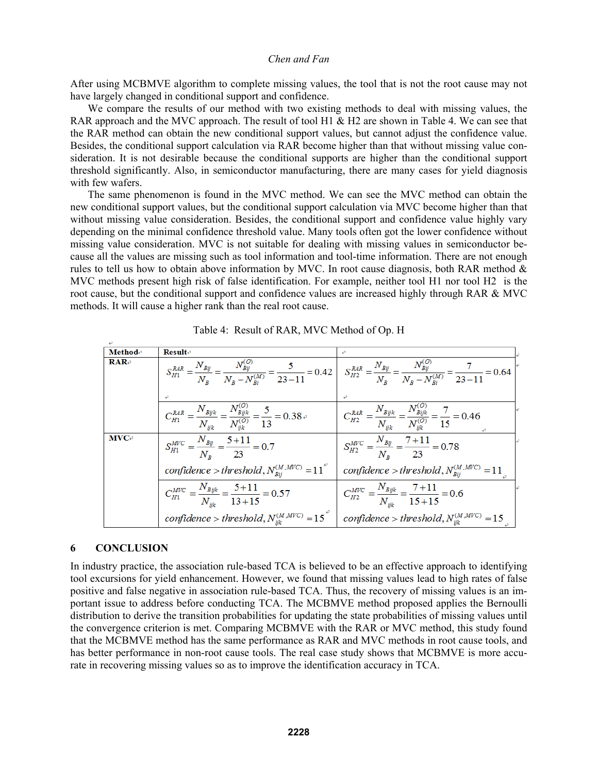After using MCBMVE algorithm to complete missing values, the tool that is not the root cause may not have largely changed in conditional support and confidence.

 We compare the results of our method with two existing methods to deal with missing values, the RAR approach and the MVC approach. The result of tool H1 & H2 are shown in Table 4. We can see that the RAR method can obtain the new conditional support values, but cannot adjust the confidence value. Besides, the conditional support calculation via RAR become higher than that without missing value consideration. It is not desirable because the conditional supports are higher than the conditional support threshold significantly. Also, in semiconductor manufacturing, there are many cases for yield diagnosis with few wafers.

 The same phenomenon is found in the MVC method. We can see the MVC method can obtain the new conditional support values, but the conditional support calculation via MVC become higher than that without missing value consideration. Besides, the conditional support and confidence value highly vary depending on the minimal confidence threshold value. Many tools often got the lower confidence without missing value consideration. MVC is not suitable for dealing with missing values in semiconductor because all the values are missing such as tool information and tool-time information. There are not enough rules to tell us how to obtain above information by MVC. In root cause diagnosis, both RAR method & MVC methods present high risk of false identification. For example, neither tool H1 nor tool H2 is the root cause, but the conditional support and confidence values are increased highly through RAR & MVC methods. It will cause a higher rank than the real root cause.

| <b>Method</b> | $Resulte$                                                                                                          |                                                                                                            |
|---------------|--------------------------------------------------------------------------------------------------------------------|------------------------------------------------------------------------------------------------------------|
| $RAR -$       | $S_{H1}^{RAR} = \frac{N_{Bij}}{N_B} = \frac{N_{Bij}^{(O)}}{N_B - N_{Bi}^{(M)}} = \frac{5}{23-11} = 0.42$           | $S_{H2}^{RAR} = \frac{N_{Bij}}{N_B} = \frac{N_{Bij}^{(O)}}{N_B - N_{Bi}^{(M)}} = \frac{7}{23 - 11} = 0.64$ |
|               | P                                                                                                                  | ₽                                                                                                          |
|               | $C_{H1}^{RAR} = \frac{N_{Bijk}}{N_{ijk}} = \frac{N_{Bijk}^{(O)}}{N_{ijk}^{(O)}} = \frac{5}{13} = 0.38 \, \text{m}$ | $C_{H2}^{RAR} = \frac{N_{Byk}}{N_{ijk}} = \frac{N_{Bijk}^{(O)}}{N_{ijk}^{(O)}} = \frac{7}{15} = 0.46$      |
| $MVC-$        | $S_{H1}^{MVC} = \frac{N_{Bij}}{N_R} = \frac{5+11}{23} = 0.7$                                                       | $S_{H2}^{MVC} = \frac{N_{Bij}}{N_R} = \frac{7+11}{23} = 0.78$                                              |
|               | confidence > threshold, $N_{Bii}^{(M,MVC)} = 11^{S}$                                                               | confidence > threshold, $N_{Bij}^{(M,MVC)} = 11$                                                           |
|               | $C_{H1}^{MVC} = \frac{N_{Bijk}}{N_{ijk}} = \frac{5+11}{13+15} = 0.57$                                              | $C_{H2}^{MVC} = \frac{N_{Bijk}}{N_{ijk}} = \frac{7+11}{15+15} = 0.6$                                       |
|               | confidence > threshold, $N_{ijk}^{(M,MVC)} = 15^{4}$                                                               | confidence > threshold, $N_{ijk}^{(M,MVC)} = 15$                                                           |

Table 4: Result of RAR, MVC Method of Op. H

### **6 CONCLUSION**

In industry practice, the association rule-based TCA is believed to be an effective approach to identifying tool excursions for yield enhancement. However, we found that missing values lead to high rates of false positive and false negative in association rule-based TCA. Thus, the recovery of missing values is an important issue to address before conducting TCA. The MCBMVE method proposed applies the Bernoulli distribution to derive the transition probabilities for updating the state probabilities of missing values until the convergence criterion is met. Comparing MCBMVE with the RAR or MVC method, this study found that the MCBMVE method has the same performance as RAR and MVC methods in root cause tools, and has better performance in non-root cause tools. The real case study shows that MCBMVE is more accurate in recovering missing values so as to improve the identification accuracy in TCA.